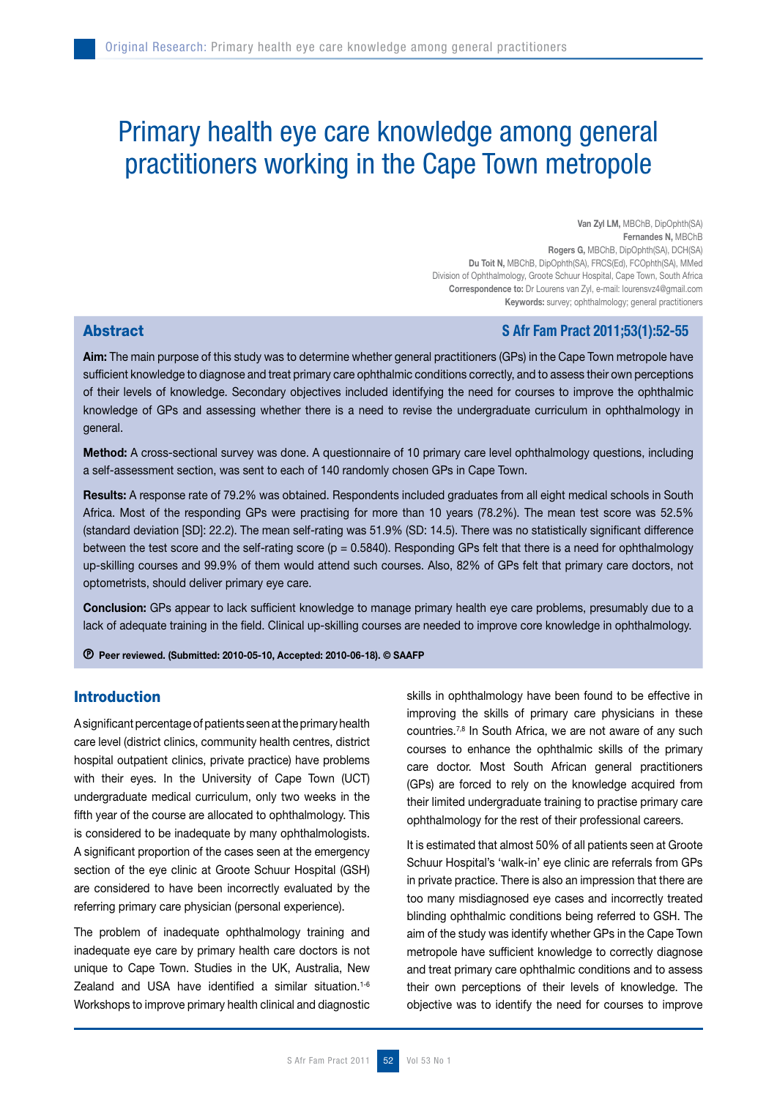# Primary health eye care knowledge among general practitioners working in the Cape Town metropole

Van Zyl LM, MBChB, DipOphth(SA) Fernandes N, MBChB Rogers G, MBChB, DipOphth(SA), DCH(SA) Du Toit N, MBChB, DipOphth(SA), FRCS(Ed), FCOphth(SA), MMed Division of Ophthalmology, Groote Schuur Hospital, Cape Town, South Africa Correspondence to: Dr Lourens van Zyl, e-mail: lourensvz4@gmail.com Keywords: survey; ophthalmology; general practitioners

# **Abstract Section 2011;53(1):52-55**

Aim: The main purpose of this study was to determine whether general practitioners (GPs) in the Cape Town metropole have sufficient knowledge to diagnose and treat primary care ophthalmic conditions correctly, and to assess their own perceptions of their levels of knowledge. Secondary objectives included identifying the need for courses to improve the ophthalmic knowledge of GPs and assessing whether there is a need to revise the undergraduate curriculum in ophthalmology in general.

Method: A cross-sectional survey was done. A questionnaire of 10 primary care level ophthalmology questions, including a self-assessment section, was sent to each of 140 randomly chosen GPs in Cape Town.

Results: A response rate of 79.2% was obtained. Respondents included graduates from all eight medical schools in South Africa. Most of the responding GPs were practising for more than 10 years (78.2%). The mean test score was 52.5% (standard deviation [SD]: 22.2). The mean self-rating was 51.9% (SD: 14.5). There was no statistically significant difference between the test score and the self-rating score ( $p = 0.5840$ ). Responding GPs felt that there is a need for ophthalmology up-skilling courses and 99.9% of them would attend such courses. Also, 82% of GPs felt that primary care doctors, not optometrists, should deliver primary eye care.

Conclusion: GPs appear to lack sufficient knowledge to manage primary health eye care problems, presumably due to a lack of adequate training in the field. Clinical up-skilling courses are needed to improve core knowledge in ophthalmology.

Peer reviewed. (Submitted: 2010-05-10, Accepted: 2010-06-18). © SAAFP

### Introduction

A significant percentage of patients seen at the primary health care level (district clinics, community health centres, district hospital outpatient clinics, private practice) have problems with their eyes. In the University of Cape Town (UCT) undergraduate medical curriculum, only two weeks in the fifth year of the course are allocated to ophthalmology. This is considered to be inadequate by many ophthalmologists. A significant proportion of the cases seen at the emergency section of the eye clinic at Groote Schuur Hospital (GSH) are considered to have been incorrectly evaluated by the referring primary care physician (personal experience).

The problem of inadequate ophthalmology training and inadequate eye care by primary health care doctors is not unique to Cape Town. Studies in the UK, Australia, New Zealand and USA have identified a similar situation.<sup>1-6</sup> Workshops to improve primary health clinical and diagnostic

skills in ophthalmology have been found to be effective in improving the skills of primary care physicians in these countries.7,8 In South Africa, we are not aware of any such courses to enhance the ophthalmic skills of the primary care doctor. Most South African general practitioners (GPs) are forced to rely on the knowledge acquired from their limited undergraduate training to practise primary care ophthalmology for the rest of their professional careers.

It is estimated that almost 50% of all patients seen at Groote Schuur Hospital's 'walk-in' eye clinic are referrals from GPs in private practice. There is also an impression that there are too many misdiagnosed eye cases and incorrectly treated blinding ophthalmic conditions being referred to GSH. The aim of the study was identify whether GPs in the Cape Town metropole have sufficient knowledge to correctly diagnose and treat primary care ophthalmic conditions and to assess their own perceptions of their levels of knowledge. The objective was to identify the need for courses to improve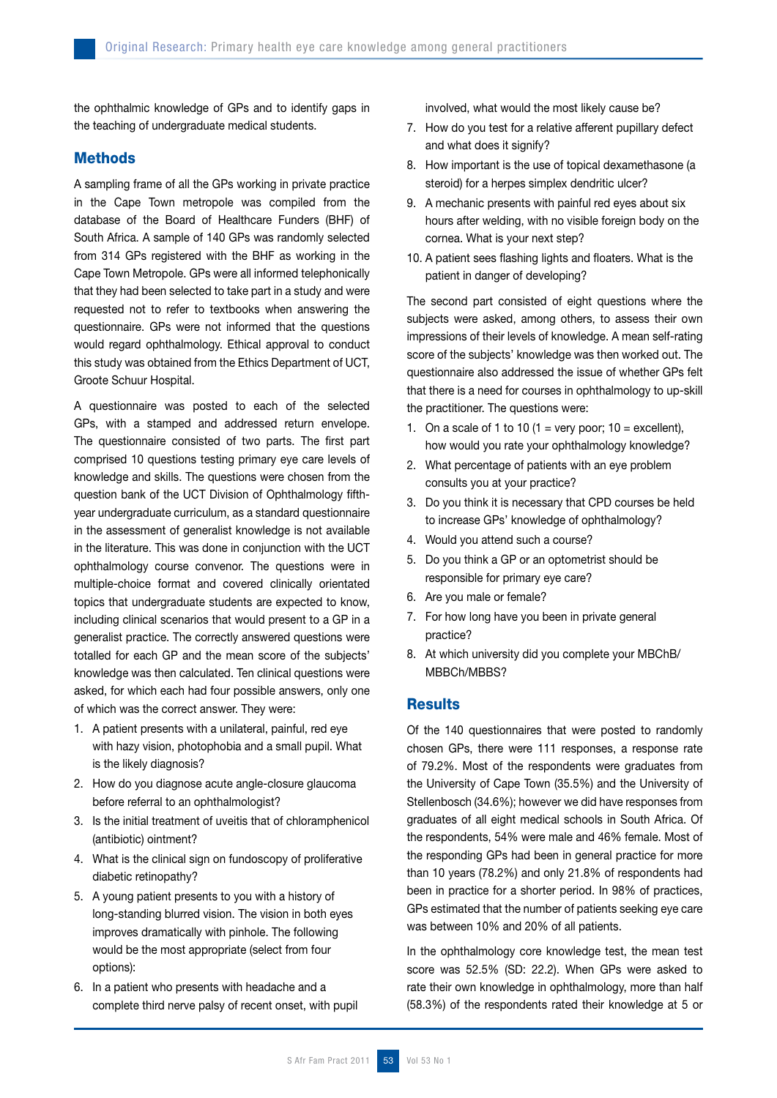the ophthalmic knowledge of GPs and to identify gaps in the teaching of undergraduate medical students.

#### **Methods**

A sampling frame of all the GPs working in private practice in the Cape Town metropole was compiled from the database of the Board of Healthcare Funders (BHF) of South Africa. A sample of 140 GPs was randomly selected from 314 GPs registered with the BHF as working in the Cape Town Metropole. GPs were all informed telephonically that they had been selected to take part in a study and were requested not to refer to textbooks when answering the questionnaire. GPs were not informed that the questions would regard ophthalmology. Ethical approval to conduct this study was obtained from the Ethics Department of UCT, Groote Schuur Hospital.

A questionnaire was posted to each of the selected GPs, with a stamped and addressed return envelope. The questionnaire consisted of two parts. The first part comprised 10 questions testing primary eye care levels of knowledge and skills. The questions were chosen from the question bank of the UCT Division of Ophthalmology fifthyear undergraduate curriculum, as a standard questionnaire in the assessment of generalist knowledge is not available in the literature. This was done in conjunction with the UCT ophthalmology course convenor. The questions were in multiple-choice format and covered clinically orientated topics that undergraduate students are expected to know, including clinical scenarios that would present to a GP in a generalist practice. The correctly answered questions were totalled for each GP and the mean score of the subjects' knowledge was then calculated. Ten clinical questions were asked, for which each had four possible answers, only one of which was the correct answer. They were:

- 1. A patient presents with a unilateral, painful, red eye with hazy vision, photophobia and a small pupil. What is the likely diagnosis?
- 2. How do you diagnose acute angle-closure glaucoma before referral to an ophthalmologist?
- 3. Is the initial treatment of uveitis that of chloramphenicol (antibiotic) ointment?
- 4. What is the clinical sign on fundoscopy of proliferative diabetic retinopathy?
- 5. A young patient presents to you with a history of long-standing blurred vision. The vision in both eyes improves dramatically with pinhole. The following would be the most appropriate (select from four options):
- 6. In a patient who presents with headache and a complete third nerve palsy of recent onset, with pupil

involved, what would the most likely cause be?

- 7. How do you test for a relative afferent pupillary defect and what does it signify?
- 8. How important is the use of topical dexamethasone (a steroid) for a herpes simplex dendritic ulcer?
- 9. A mechanic presents with painful red eyes about six hours after welding, with no visible foreign body on the cornea. What is your next step?
- 10. A patient sees flashing lights and floaters. What is the patient in danger of developing?

The second part consisted of eight questions where the subjects were asked, among others, to assess their own impressions of their levels of knowledge. A mean self-rating score of the subjects' knowledge was then worked out. The questionnaire also addressed the issue of whether GPs felt that there is a need for courses in ophthalmology to up-skill the practitioner. The questions were:

- 1. On a scale of 1 to 10 (1 = very poor;  $10 =$  excellent), how would you rate your ophthalmology knowledge?
- 2. What percentage of patients with an eye problem consults you at your practice?
- 3. Do you think it is necessary that CPD courses be held to increase GPs' knowledge of ophthalmology?
- 4. Would you attend such a course?
- 5. Do you think a GP or an optometrist should be responsible for primary eye care?
- 6. Are you male or female?
- 7. For how long have you been in private general practice?
- 8. At which university did you complete your MBChB/ MBBCh/MBBS?

#### **Results**

Of the 140 questionnaires that were posted to randomly chosen GPs, there were 111 responses, a response rate of 79.2%. Most of the respondents were graduates from the University of Cape Town (35.5%) and the University of Stellenbosch (34.6%); however we did have responses from graduates of all eight medical schools in South Africa. Of the respondents, 54% were male and 46% female. Most of the responding GPs had been in general practice for more than 10 years (78.2%) and only 21.8% of respondents had been in practice for a shorter period. In 98% of practices, GPs estimated that the number of patients seeking eye care was between 10% and 20% of all patients.

In the ophthalmology core knowledge test, the mean test score was 52.5% (SD: 22.2). When GPs were asked to rate their own knowledge in ophthalmology, more than half (58.3%) of the respondents rated their knowledge at 5 or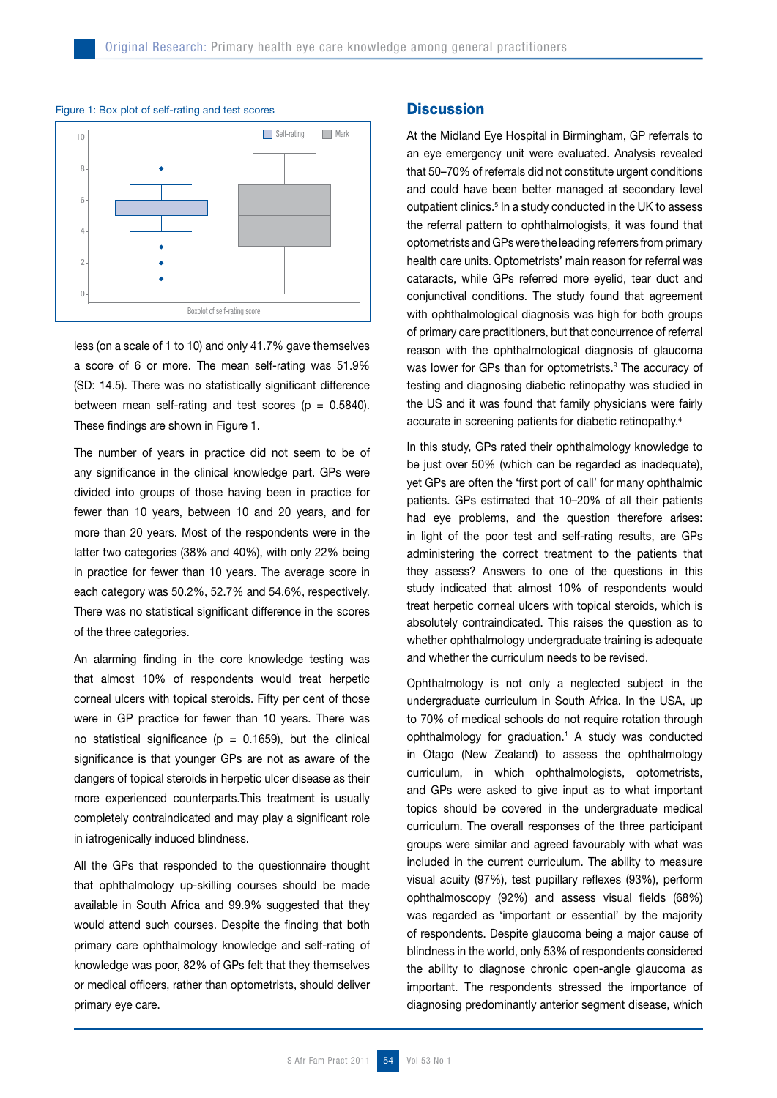

#### Figure 1: Box plot of self-rating and test scores

less (on a scale of 1 to 10) and only 41.7% gave themselves a score of 6 or more. The mean self-rating was 51.9% (SD: 14.5). There was no statistically significant difference between mean self-rating and test scores ( $p = 0.5840$ ). These findings are shown in Figure 1.

The number of years in practice did not seem to be of any significance in the clinical knowledge part. GPs were divided into groups of those having been in practice for fewer than 10 years, between 10 and 20 years, and for more than 20 years. Most of the respondents were in the latter two categories (38% and 40%), with only 22% being in practice for fewer than 10 years. The average score in each category was 50.2%, 52.7% and 54.6%, respectively. There was no statistical significant difference in the scores of the three categories.

An alarming finding in the core knowledge testing was that almost 10% of respondents would treat herpetic corneal ulcers with topical steroids. Fifty per cent of those were in GP practice for fewer than 10 years. There was no statistical significance ( $p = 0.1659$ ), but the clinical significance is that younger GPs are not as aware of the dangers of topical steroids in herpetic ulcer disease as their more experienced counterparts.This treatment is usually completely contraindicated and may play a significant role in iatrogenically induced blindness.

All the GPs that responded to the questionnaire thought that ophthalmology up-skilling courses should be made available in South Africa and 99.9% suggested that they would attend such courses. Despite the finding that both primary care ophthalmology knowledge and self-rating of knowledge was poor, 82% of GPs felt that they themselves or medical officers, rather than optometrists, should deliver primary eye care.

# **Discussion**

At the Midland Eye Hospital in Birmingham, GP referrals to an eye emergency unit were evaluated. Analysis revealed that 50–70% of referrals did not constitute urgent conditions and could have been better managed at secondary level outpatient clinics.<sup>5</sup> In a study conducted in the UK to assess the referral pattern to ophthalmologists, it was found that optometrists and GPs were the leading referrers from primary health care units. Optometrists' main reason for referral was cataracts, while GPs referred more eyelid, tear duct and conjunctival conditions. The study found that agreement with ophthalmological diagnosis was high for both groups of primary care practitioners, but that concurrence of referral reason with the ophthalmological diagnosis of glaucoma was lower for GPs than for optometrists.<sup>9</sup> The accuracy of testing and diagnosing diabetic retinopathy was studied in the US and it was found that family physicians were fairly accurate in screening patients for diabetic retinopathy.4

In this study, GPs rated their ophthalmology knowledge to be just over 50% (which can be regarded as inadequate), yet GPs are often the 'first port of call' for many ophthalmic patients. GPs estimated that 10–20% of all their patients had eye problems, and the question therefore arises: in light of the poor test and self-rating results, are GPs administering the correct treatment to the patients that they assess? Answers to one of the questions in this study indicated that almost 10% of respondents would treat herpetic corneal ulcers with topical steroids, which is absolutely contraindicated. This raises the question as to whether ophthalmology undergraduate training is adequate and whether the curriculum needs to be revised.

Ophthalmology is not only a neglected subject in the undergraduate curriculum in South Africa. In the USA, up to 70% of medical schools do not require rotation through ophthalmology for graduation.1 A study was conducted in Otago (New Zealand) to assess the ophthalmology curriculum, in which ophthalmologists, optometrists, and GPs were asked to give input as to what important topics should be covered in the undergraduate medical curriculum. The overall responses of the three participant groups were similar and agreed favourably with what was included in the current curriculum. The ability to measure visual acuity (97%), test pupillary reflexes (93%), perform ophthalmoscopy (92%) and assess visual fields (68%) was regarded as 'important or essential' by the majority of respondents. Despite glaucoma being a major cause of blindness in the world, only 53% of respondents considered the ability to diagnose chronic open-angle glaucoma as important. The respondents stressed the importance of diagnosing predominantly anterior segment disease, which